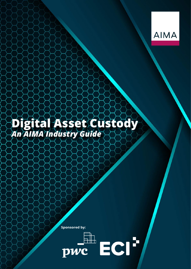

# **Digital Asset Custody**

*An AIMA Industry Guide*

**Sponsored by:**

# $pwc$ <sup>ECI<sup>></sup></sup>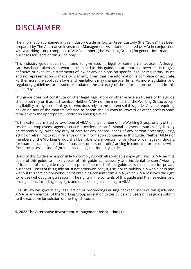### **DISCLAIMER**

The information contained in this Industry Guide on Digital Asset Custody (the "Guide'" has been prepared by The Alternative Investment Management Association Limited (AIMA) in conjunction with a working group comprised of AIMA members (the "Working Group") for general informational purposes for users of this guide only.

This industry guide does not intend to give specific legal or commercial advice. Although care has been taken as to what is contained in this guide, no attempt has been made to give definitive or exhaustive statements of law or any opinions on specific legal or regulatory issues and no representation is made or warranty given that the information is complete or accurate. Furthermore, the applicable laws and regulations may change over time. As more legislation and regulatory guidelines are issued or updated, the accuracy of the information contained in this guide may alter.

This guide does not constitute or offer legal, regulatory or other advice and users of this guide should not rely on it as such advice. Neither AIMA nor the members of the Working Group accept any liability to any user of this guide who does rely on the content sof this guide. Anyone requiring advice on any of the matters referred to herein should consult lawyers or other professionals familiar with the appropriate jurisdiction and legislation.

To the extent permitted by law, none of AIMA or any member of the Working Group, or any of their respective employees, agents, service providers or professional advisers assumes any liability or responsibility, owes any duty of care for any consequences of any person accessing, using, acting or refraining to act in reliance on the information contained in this guide. Neither AIMA nor members of the Working Group shall be liable to any person for any loss or damages (including, for example, damages for loss of business or loss of profits) arising in contract, tort or otherwise from the access or use of (or inability to use) this industry guide.

Users of this guide are responsible for complying with all applicable copyright laws. AIMA permits users of this guide to make copies of this guide as necessary and incidental to users' viewing of it; users of this guide may take a print of so much of the guide as is reasonable for private purposes. Users of this guide must not otherwise copy it, use it or re-publish it in whole or in part without this section nor without first obtaining consent from AIMA (which AIMA reserves the right to refuse without giving a reason). The rights in the contents of this guide and their selection and arrangement, including copyright and database rights, belong to AIMA.

English law will govern any legal action or proceedings arising between users of this guide and AIMA or any member of the Working Group in relation to this guide and users of this guide submit to the exclusive jurisdiction of the English courts.

#### **© 2022 The Alternative Investment Management Association Ltd**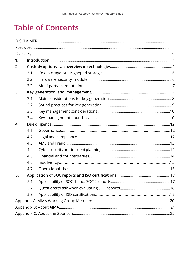## **Table of Contents**

| 1. |     |  |  |  |  |
|----|-----|--|--|--|--|
| 2. |     |  |  |  |  |
|    | 2.1 |  |  |  |  |
|    | 2.2 |  |  |  |  |
|    | 2.3 |  |  |  |  |
| 3. |     |  |  |  |  |
|    | 3.1 |  |  |  |  |
|    | 3.2 |  |  |  |  |
|    | 3.3 |  |  |  |  |
|    | 3.4 |  |  |  |  |
| 4. |     |  |  |  |  |
|    | 4.1 |  |  |  |  |
|    | 4.2 |  |  |  |  |
|    | 4.3 |  |  |  |  |
|    | 4.4 |  |  |  |  |
|    | 4.5 |  |  |  |  |
|    | 4.6 |  |  |  |  |
|    | 4.7 |  |  |  |  |
| 5. |     |  |  |  |  |
|    |     |  |  |  |  |
|    | 5.2 |  |  |  |  |
|    | 5.3 |  |  |  |  |
|    |     |  |  |  |  |
|    |     |  |  |  |  |
|    |     |  |  |  |  |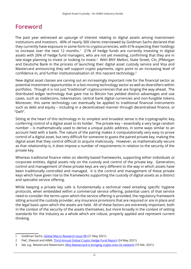#### **Foreword**

The past year witnessed an upsurge of interest relating to digital assets among mainstream institutions and investors. 40% of nearly 300 clients interviewed by Goldman Sachs declared that they currently have exposure in some form to cryptocurrencies, with 61% expecting their holdings to increase over the next 12 months.<sup>1</sup> 21% of hedge funds are currently investing in digital assets with 26% of hedge fund managers, who are not yet investing, confirming that they are in late-stage planning to invest or looking to invest.<sup>2</sup> With BNY Mellon, State Street, Citi, JPMorgan and Deutsche Bank in the process of launching their digital asset custody service and Visa and Mastercard announcing they will support crypto payments, signs point to an increasing level of confidence in, and further institutionalisation of, this nascent technology.<sup>3</sup>

New digital asset classes are carving out an increasingly important role for the financial sector as potential investment opportunities in a fast-moving technology sector as well as diversifiers within portfolios. Though it is not just "traditional" cryptocurrencies that are forging the way ahead. The distributed ledger technology that gave rise to Bitcoin has yielded distinct advantages and use cases, such as stablecoins, tokenisation, central bank digital currencies and non-fungible tokens. Moreover, this same technology can eventually be applied to traditional financial instruments such as debt and equity – including in a decentralised manner through decentralised finance, or "DeFi".

Sitting at the heart of this technology in its simplest and broadest sense is the cryptographic key, conferring control of a digital asset to its holder. The private key – essentially a very large random number – is mathematically used to derive a unique public address, in some ways similar to an account held with a bank. The nature of the pairing makes it computationally very easy to prove control of a digital asset, but very difficult for someone to guess the paired private key, making the digital asset that they control difficult to acquire maliciously. However, as mathematically secure as that relationship is, it does impose a number of requirements in relation to the security of the private key.

Whereas traditional finance relies on identity-based frameworks, supporting either individuals or corporate entities, digital assets rely on the custody and control of the private key. Generation, control and management of these private keys are very different to the way in which assets have been traditionally controlled and managed. It is the control and management of these private keys which have given rise to the frameworks supporting the custody of digital assets as a distinct and specialist service offering.

While keeping a private key safe is fundamentally a technical need entailing specific hygiene protocols, when embedded within a commercial service offering, potential users of that service need to consider the terms upon which the service offering is provided, the regulatory framework sitting around the custody provider, any insurance provisions that are required or are in place and the legal basis upon which the assets are held. All of these factors are extremely important, both in the context of the security of the assets themselves, but more broadly in the context of setting standards for the industry as a whole which are robust, properly applied and represent current thinking.

<sup>1</sup> Goldman Sachs, [Global Macro Research Issue 98](https://www.goldmansachs.com/insights/pages/crypto-a-new-asset-class-f/report.pdf) (21 May 2021).

<sup>2</sup> PwC, Elwood and AIMA, [Third Annual Global Crypto Hedge Fund Report](https://www.aima.org/article/press-release-pwc-elwood-and-aima-publish-third-annual-global-crypto-hedge-fund-report.html) (24 May 2021).

<sup>3</sup> *See, e.g.,* Mastercard Newsroom, [Why Mastercard is bringing crypto onto its network](https://www.mastercard.com/news/perspectives/2021/why-mastercard-is-bringing-crypto-onto-our-network/) (10 Feb. 2021).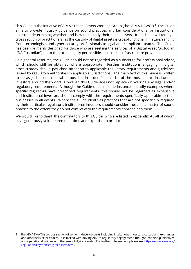This Guide is the initiative of AIMA's Digital Assets Working Group (the "AIMA DAWG").<sup>4</sup> The Guide aims to provide industry guidance on sound practices and key considerations for institutional investors determining whether and how to custody their digital assets. It has been written by a cross section of practitioners, as the custody of digital assets is cross-functional in nature, ranging from technologists and cyber security professionals to legal and compliance teams. The Guide has been primarily designed for those who are seeking the services of a Digital Asset Custodian ("DA Custodian") or, to the extent legally permissible, a custodial infrastructure provider.

As a general resource, the Guide should not be regarded as a substitute for professional advice, which should still be obtained where appropriate. Further, institutions engaging in digital asset custody should pay close attention to applicable regulatory requirements and guidelines issued by regulatory authorities in applicable jurisdictions. The main text of this Guide is written to be as jurisdiction neutral as possible in order for it to be of the most use to institutional investors around the world. However, this Guide does not replace or override any legal and/or regulatory requirements. Although the Guide does in some instances identify examples where specific regulators have prescribed requirements, this should not be regarded as exhaustive and institutional investors should comply with the requirements specifically applicable to their businesses in all events. Where the Guide identifies practices that are not specifically required by their particular regulators, institutional investors should consider these as a matter of sound practice to the extent they do not conflict with the requirements applicable to them.

We would like to thank the contributors to this Guide (who are listed in **Appendix A**), all of whom have generously volunteered their time and expertise to produce.

<sup>4</sup> The AIMA DAWG is a cross section of senior industry experts including institutional investors, custodians, exchanges and other service providers. It is tasked with driving AIMA's regulatory engagement, thought-leadership initiatives and operational guidance in the area of digital assets. For further information, please see [https://www.aima.org/](https://www.aima.org/regulation/keytopics/digital-assets.html) [regulation/keytopics/digital-assets.html](https://www.aima.org/regulation/keytopics/digital-assets.html).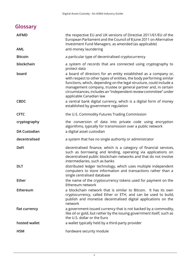#### **Glossary**

| <b>AIFMD</b>        | the respective EU and UK versions of Directive 2011/61/EU of the<br>European Parliament and the Council of 8 June 2011 on Alternative<br>Investment Fund Managers, as amended (as applicable)                                                                                                                                                                                  |
|---------------------|--------------------------------------------------------------------------------------------------------------------------------------------------------------------------------------------------------------------------------------------------------------------------------------------------------------------------------------------------------------------------------|
| <b>AML</b>          | anti-money laundering                                                                                                                                                                                                                                                                                                                                                          |
| <b>Bitcoin</b>      | a particular type of decentralised cryptocurrency                                                                                                                                                                                                                                                                                                                              |
| blockchain          | a system of records that are connected using cryptography to<br>protect data                                                                                                                                                                                                                                                                                                   |
| board               | a board of directors for an entity established as a company or,<br>with respect to other types of entities, the body performing similar<br>functions, which, depending on the legal structure, could include a<br>management company, trustee or general partner and, in certain<br>circumstances, includes an "independent review committee" under<br>applicable Canadian law |
| <b>CBDC</b>         | a central bank digital currency, which is a digital form of money<br>established by government regulation                                                                                                                                                                                                                                                                      |
| <b>CFTC</b>         | the U.S. Commodity Futures Trading Commission                                                                                                                                                                                                                                                                                                                                  |
| cryptography        | the conversion of data into private code using encryption<br>algorithms, typically for transmission over a public network                                                                                                                                                                                                                                                      |
| <b>DA Custodian</b> | a digital asset custodian                                                                                                                                                                                                                                                                                                                                                      |
|                     |                                                                                                                                                                                                                                                                                                                                                                                |
| decentralised       | a system that has no single authority or administrator                                                                                                                                                                                                                                                                                                                         |
| <b>DeFi</b>         | decentralised finance, which is a category of financial services,<br>such as borrowing and lending, operating via applications on<br>decentralised public blockchain networks and that do not involve<br>intermediaries, such as banks                                                                                                                                         |
| <b>DLT</b>          | distributed ledger technology, which uses multiple independent<br>computers to store information and transactions rather than a<br>single centralised database                                                                                                                                                                                                                 |
| <b>Ether</b>        | the name of the cryptocurrency tokens used for payment on the<br>Ethereum network                                                                                                                                                                                                                                                                                              |
| Ethereum            | a blockchain network that is similar to Bitcoin. It has its own<br>cryptocurrency, called Ether or ETH, and can be used to build,<br>publish and monetise decentralised digital applications on the<br>network                                                                                                                                                                 |
| fiat currency       | a government-issued currency that is not backed by a commodity,<br>like oil or gold, but rather by the issuing government itself, such as<br>the U.S. dollar or the Euro                                                                                                                                                                                                       |
| hosted wallet       | a wallet typically held by a third-party provider                                                                                                                                                                                                                                                                                                                              |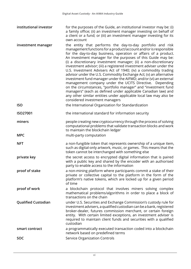| institutional investor     | for the purposes of the Guide, an institutional investor may be: (i)<br>a family office; (ii) an investment manager investing on behalf of<br>a client or a fund; or (iii) an investment manager investing for its<br>own account                                                                                                                                                                                                                                                                                                                                                                                                                                                                                                                                                                                                                                                                                            |
|----------------------------|------------------------------------------------------------------------------------------------------------------------------------------------------------------------------------------------------------------------------------------------------------------------------------------------------------------------------------------------------------------------------------------------------------------------------------------------------------------------------------------------------------------------------------------------------------------------------------------------------------------------------------------------------------------------------------------------------------------------------------------------------------------------------------------------------------------------------------------------------------------------------------------------------------------------------|
| investment manager         | the entity that performs the day-to-day portfolio and risk<br>management functions for a product/account and/or is responsible<br>for the day-to-day business, operation or affairs of a product.<br>An investment manager for the purposes of this Guide may be:<br>(i) a discretionary investment manager; (ii) a non-discretionary<br>investment advisor; (iii) a registered investment adviser under the<br>U.S. Investment Advisers Act of 1940; (iv) a commodity trading<br>advisor under the U.S. Commodity Exchange Act; (v) an alternative<br>investment fund manager under the AIFMD; and/or (vi) an external<br>management company under the UCITS Directive. Depending<br>on the circumstances, "portfolio manager" and "investment fund<br>managers" (each as defined under applicable Canadian law) and<br>any other similar entities under applicable local law may also be<br>considered investment managers |
| <b>ISO</b>                 | the International Organization for Standardization                                                                                                                                                                                                                                                                                                                                                                                                                                                                                                                                                                                                                                                                                                                                                                                                                                                                           |
| ISO27001                   | the international standard for information security                                                                                                                                                                                                                                                                                                                                                                                                                                                                                                                                                                                                                                                                                                                                                                                                                                                                          |
| miners                     | people creating new cryptocurrency through the process of solving<br>computational problems that validate transaction blocks and work<br>to maintain the blockchain ledger                                                                                                                                                                                                                                                                                                                                                                                                                                                                                                                                                                                                                                                                                                                                                   |
|                            |                                                                                                                                                                                                                                                                                                                                                                                                                                                                                                                                                                                                                                                                                                                                                                                                                                                                                                                              |
| <b>MPC</b>                 | multi-party computation                                                                                                                                                                                                                                                                                                                                                                                                                                                                                                                                                                                                                                                                                                                                                                                                                                                                                                      |
| <b>NFT</b>                 | a non-fungible token that represents ownership of a unique item,<br>such as digital-only artwork, music, or games. This means that the<br>token cannot be interchanged with something else                                                                                                                                                                                                                                                                                                                                                                                                                                                                                                                                                                                                                                                                                                                                   |
| private key                | the secret access to encrypted digital information that is paired<br>with a public key and shared by the encoder with an authorised<br>party to enable access to the information                                                                                                                                                                                                                                                                                                                                                                                                                                                                                                                                                                                                                                                                                                                                             |
| proof of stake             | a non-mining platform where participants commit a stake of their<br>private or collective capital to the platform in the form of the<br>platform's native tokens, which are locked up for a given period<br>of time                                                                                                                                                                                                                                                                                                                                                                                                                                                                                                                                                                                                                                                                                                          |
| proof of work              | a blockchain protocol that involves miners solving complex<br>mathematical problems/algorithms in order to place a block of<br>transactions on the chain                                                                                                                                                                                                                                                                                                                                                                                                                                                                                                                                                                                                                                                                                                                                                                     |
| <b>Qualified Custodian</b> | under U.S. Securities and Exchange Commission's custody rule for<br>investment advisers, a qualified custodian can be a bank, registered<br>broker-dealer, futures commission merchant, or certain foreign<br>entity. With certain limited exceptions, an investment adviser is<br>required to maintain client funds and securities with a qualified<br>custodian                                                                                                                                                                                                                                                                                                                                                                                                                                                                                                                                                            |
| smart contract             | a programmatically executed transaction coded into a blockchain<br>network based on predefined terms                                                                                                                                                                                                                                                                                                                                                                                                                                                                                                                                                                                                                                                                                                                                                                                                                         |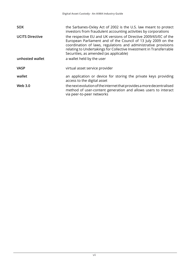| SOX<br><b>UCITS Directive</b> | the Sarbanes-Oxley Act of 2002 is the U.S. law meant to protect<br>investors from fraudulent accounting activities by corporations<br>the respective EU and UK versions of Directive 2009/65/EC of the                                            |
|-------------------------------|---------------------------------------------------------------------------------------------------------------------------------------------------------------------------------------------------------------------------------------------------|
|                               | European Parliament and of the Council of 13 July 2009 on the<br>coordination of laws, regulations and administrative provisions<br>relating to Undertakings for Collective Investment in Transferrable<br>Securities, as amended (as applicable) |
| unhosted wallet               | a wallet held by the user                                                                                                                                                                                                                         |
| <b>VASP</b>                   | virtual asset service provider                                                                                                                                                                                                                    |
| wallet                        | an application or device for storing the private keys providing<br>access to the digital asset                                                                                                                                                    |
| <b>Web 3.0</b>                | the next evolution of the internet that provides a more decentralised<br>method of user-content generation and allows users to interact<br>via peer-to-peer networks                                                                              |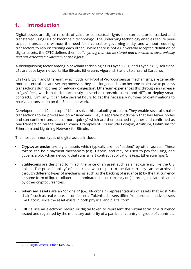#### **1. Introduction**

Digital assets are digital records of value or contractual rights that can be stored, tracked and transferred using DLT or blockchain technology. The underlying technology enables secure peerto-peer transactions without the need for a central or governing entity, and without requiring transactors to rely on trusting each other. While there is not a universally accepted definition of digital assets, the CFTC defines them as "*anything that can be stored and transmitted electronically and has associated ownership or use rights*". 5

A distinguishing factor among blockchain technologies is Layer 1 (L1) and Layer 2 (L2) solutions. L1s are base layer networks like Bitcoin, Ethereum, Algorand, Stellar, Solana and Cardano.

L1s like Bitcoin and Ethereum, which both run Proof of Work consensus mechanisms, are generally more decentralised and secure; however, they take longer and it can become expensive to process transactions during times of network congestion. Ethereum experiences this through an increase in "gas" fees, which make it more costly to send or transmit tokens and NFTs or deploy smart contracts. Similarly, it can take several hours to get the necessary number of confirmations to receive a transaction on the Bitcoin network.

Developers build L2s on top of L1s to solve this scalability problem. They enable several smaller transactions to be processed on a "sidechain" (i.e., a separate blockchain that has fewer nodes and can confirm transactions more quickly) which are then batched together and confirmed as one transaction on the main L1 chain. Examples of L2s include Polygon, Arbitrum, Optimism for Ethereum and Lightning Network for Bitcoin.

The most common types of digital assets include:

- **• Cryptocurrencies** are digital assets which typically are not "backed" by other assets. These tokens can be a payment mechanism (e.g., Bitcoin) and may be used to pay for using, and govern, a blockchain network that runs smart contract applications (e.g., Ethereum "gas").
- **• Stablecoins** are designed to mirror the price of an asset such as a fiat currency like the U.S. dollar. The price "stability" of such coins with respect to the fiat currency can be achieved through different types of mechanisms such as the backing of issuance (i) by the fiat currency or some form of liquid collateral denominated in that currency or (ii) through collateralisation by other cryptocurrencies.
- **• Tokenised assets** are an "on-chain" (i.e., blockchain) representations of assets that exist "offchain", such as real estate, securities, etc. Tokenised assets differ from protocol-native assets like Bitcoin, since the asset exists in both physical and digital form.
- **• CBDCs** use an electronic record or digital token to represent the virtual form of a currency issued and regulated by the monetary authority of a particular country or group of countries.

<sup>5</sup> CFTC, [Digital Assets Primer](https://www.cftc.gov/media/5476/DigitalAssetsPrimer/download), Dec. 2020.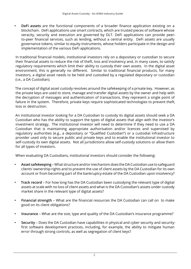**• DeFi assets** are the functional components of a broader finance application existing on a blockchain. DeFi applications use smart contracts, which are trusted pieces of software whose veracity, security and execution are governed by DLT. DeFi applications can provide peerto-peer financial services, such as lending, without a central entity. DeFi assets are usually governance tokens, similar to equity instruments, whose holders participate in the design and implementation of the various DeFi applications.

In traditional financial models, institutional investors rely on a depositary or custodian to secure their financial assets to reduce the risk of theft, loss and insolvency and, in many cases, to satisfy regulatory requirements which limit their ability to custody their own assets. In the digital asset environment, this is generally no different. Similar to traditional financial products, for many investors, a digital asset needs to be held and custodied by a regulated depositary or custodian (i.e., a DA Custodian).

The concept of digital asset custody revolves around the safekeeping of a private key. However, as the private keys are used to store, manage and transfer digital assets by the owner and help with the decryption of messages and authentication of transactions, they represent a single point of failure in the system. Therefore, private keys require sophisticated technologies to prevent theft, loss or destruction.

An institutional investor looking for a DA Custodian to custody its digital assets should seek a DA Custodian who has the ability to support the types of digital assets that align with the investor's investment strategy. The institutional investor will need to determine if they need to use a DA Custodian that is maintaining appropriate authorisation and/or licences and supervised by regulatory authorities (e.g., a depositary or "Qualified Custodian") or a custodial infrastructure provider used only to secure public and private keys and to enable the institutional investor to self-custody its own digital assets. Not all jurisdictions allow self-custody solutions or allow them for all types of investors.

When evaluating DA Custodians, institutional investors should consider the following:

- **• Asset safekeeping** What structure and/or mechanism does the DA Custodian use to safeguard clients' ownership rights and to prevent the use of client assets by the DA Custodian for its own account or from becoming part of the bankruptcy estate of the DA Custodian upon insolvency?
- **• Track record**  For how long has the DA Custodian been custodying the relevant type of digital assets at scale with no loss of client assets and what is the DA Custodian's assets under custody market share in the relevant type of digital assets?
- **• Financial strength**  What are the financial resources the DA Custodian can call on to make good on its client obligations?
- **• Insurance**  What are the size, type and quality of the DA Custodian's insurance programme?
- **• Security**  Does the DA Custodian have capabilities in physical and cyber security and securityfirst software development practices, including, for example, the ability to mitigate human error through strong controls, as well as segregation of client keys?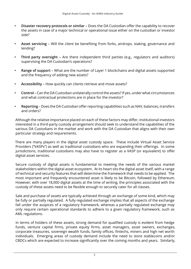- **• Disaster recovery protocols or similar** Does the DA Custodian offer the capability to recover the assets in case of a major technical or operational issue either on the custodian or investor side?
- **• Asset servicing** Will the client be benefiting from forks, airdrops, staking, governance and lending?
- **• Third party oversight**  Are there independent third parties (e.g., regulators and auditors) supervising the DA Custodian's operations?
- **• Range of support** What are the number of Layer 1 blockchains and digital assets supported and the frequency of adding new assets?
- **• Accessibility** How quickly can clients retrieve and move assets?
- **• Control**  Can the DA Custodian unilaterally control the assets? If yes, under what circumstances and what contractual protections are in place for the investor?
- **• Reporting** Does the DA Custodian offer reporting capabilities such as NAV, balances, transfers and orders?

Although the relative importance placed on each of these factors may differ, institutional investors interested in a third-party custody arrangement should seek to understand the capabilities of the various DA Custodians in the market and work with the DA Custodian that aligns with their own particular strategy and requirements.

There are many players in the digital asset custody space. These include Virtual Asset Service Providers ("VASPs") as well as traditional custodians who are expanding their offerings. In some jurisdictions, traditional custodians may also have to register as a VASP (or equivalent) to offer digital asset services.

Secure custody of digital assets is fundamental to meeting the needs of the various market stakeholders within the digital asset ecosystem. At its heart sits the digital asset itself, with a range of technical and security features that will determine the framework that needs to be applied. The most important and frequently encountered asset is likely to be Bitcoin, followed by Ethereum. However, with over 18,000 digital assets at the time of writing, the principles associated with the custody of these assets need to be flexible enough to securely cater for all classes.

Sale and purchase of assets are typically achieved through an exchange of some kind, which may be fully or partially regulated. A fully regulated exchange implies that all aspects of the exchange fall under the auspices of a regulatory framework, whereas a partially regulated exchange may only require certain operational standards to adhere to a given regulatory framework, such as AML regulations.

In terms of holders of these assets, strong demand for qualified custody is evident from hedge funds, venture capital firms, private equity firms, asset managers, asset owners, exchanges, corporate treasuries, sovereign wealth funds, family offices, fintechs, miners and high net worth individuals. Emerging areas of custody demand include the need to store stablecoins and/or CBDCs which are expected to increase significantly over the coming months and years. Similarly,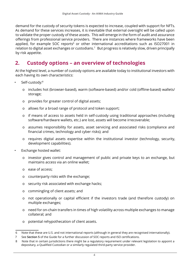demand for the custody of security tokens is expected to increase, coupled with support for NFTs. As demand for these services increases, it is inevitable that external oversight will be called upon to validate the proper custody of these assets. This will emerge in the form of audit and assurance offerings from professional service providers. There are instances where frameworks have been applied, for example SOC reports<sup>6</sup> or other international accreditations such as ISO27001 in relation to digital asset exchanges or custodians.<sup>7</sup> But progress is relatively slow, driven principally by risk appetite.

#### **2. Custody options – an overview of technologies**

At the highest level, a number of custody options are available today to institutional investors with each having its own characteristics:

- Self-custody:<sup>8</sup>
	- o includes hot (browser-based), warm (software-based) and/or cold (offline-based) wallets/ storage;
	- o provides for greater control of digital assets;
	- o allows for a broad range of protocol and token support;
	- o if means of access to assets held in self-custody using traditional approaches (including software/hardware wallets, etc.) are lost, assets will become irrecoverable;
	- o assumes responsibility for assets, asset servicing and associated risks (compliance and financial crimes, technology and cyber risks); and
	- o requires digital assets expertise within the institutional investor (technology, security, development capabilities).
	- Exchange hosted wallet:
		- o investor gives control and management of public and private keys to an exchange, but maintains access via an online wallet;
		- o ease of access;
		- o counterparty risks with the exchange;
		- o security risk associated with exchange hacks;
		- o commingling of client assets; and
		- o not operationally or capital efficient if the investors trade (and therefore custody) on multiple exchanges;
		- o need for on-chain transfers in times of high volatility across multiple exchanges to manage collateral; and
		- o potential rehypothecation of client assets.

<sup>6</sup> Note that these are U.S. and not international reports (although in general they are recognised internationally).

<sup>7</sup> See **Section 5** of the Guide for a further discussion of SOC reports and ISO certifications.

<sup>8</sup> Note that in certain jurisdictions there might be a regulatory requirement under relevant legislation to appoint a depositary, a Qualified Custodian or a similarly regulated third-party service provider.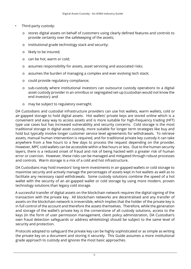- Third-party custody:
	- o stores digital assets on behalf of customers using clearly defined features and controls to provide certainty over the safekeeping of the assets;
	- o institutional grade technology stack and security;
	- o likely to be insured;
	- o can be hot, warm or cold;
	- o assumes responsibility for assets, asset servicing and associated risks;
	- o assumes the burden of managing a complex and ever evolving tech stack;
	- o could provide regulatory compliance;
	- o sub-custody where institutional investors can outsource custody operations to a digital asset custody provider in an omnibus or segregated set-up (custodian would not know the end investor); and
	- o may be subject to regulatory oversight.

DA Custodians and custodial infrastructure providers can use hot wallets, warm wallets, cold or air-gapped storage to hold digital assets. Hot wallets' private keys are stored online which is a convenient and easy way to access assets and is more suitable for high-frequency trading (HFT) type use cases but has increased vulnerability and security concerns. Cold storage is the most traditional storage in digital asset custody, more suitable for longer term strategies like buy and hold but typically involve longer customer service level agreements for withdrawals. To retrieve assets, manual human intervention is required, and for traditional private key custody it can take anywhere from a few hours to a few days to process the request depending on the provider. However, MPC cold wallets can be accessible within a few hours or less. Due to the human security layers, there is a reduced onset of fraud and risk of being hacked with a greater risk of human error or coercion. However, these risks can be managed and mitigated through robust processes and controls. Warm storage is a mix of a cold and hot infrastructure.

DA Custodians may hold investors' long-term investments in air-gapped wallets or cold storage to maximise security and actively manage the percentages of assets kept in hot wallets as well as to facilitate any necessary rapid withdrawals. Some custody solutions combine the speed of a hot wallet with the security of an air-gapped wallet or cold storage by using more modern, proven technology solutions than legacy cold storage.

A successful transfer of digital assets on the blockchain network requires the digital signing of the transaction with the private key. All blockchain networks are decentralised and any transfer of assets on the blockchain network is irreversible, which implies that the holder of the private key is in full control of the account and therefore the assets themselves. Therefore, while the generation and storage of the wallet's private key is the cornerstone of all custody solutions, access to the keys (in the form of user permission management, client policy administration, DA Custodian's own fraud detection safeguards or address whitelisting) should be subject to the same level of security and protection.

Protocols adopted to safeguard the private key can be highly sophisticated or as simple as writing the private key on a document and storing it securely. This Guide assumes a more institutional grade approach to custody and ignores the most basic approaches.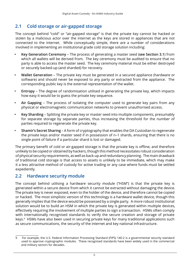#### **2.1 Cold storage or air-gapped storage**

The concept behind "cold" or "air-gapped storage" is that the private key cannot be hacked or stolen by a malicious actor over the internet as the keys are stored in appliances that are not connected to the internet. While conceptually simple, there are a number of considerations involved in implementing an institutional grade cold storage solution including:

- **• Key Generation Ceremony** The process of generating a master seed (**see Section 3.1**) from which all wallets will be derived from. The key ceremony must be audited to ensure that no party is able to access the master seed. The key ceremony material must be either destroyed or securely backed-up (and sharded) for recovery.
- **• Wallet Generation**  The private key must be generated in a secured appliance (hardware or software) and should never be exposed to any party or extracted from the appliance. The corresponding public key is the external representation of the wallet.
- **• Entropy** The degree of randomisation utilised in generating the private key, which impacts how easy it would be to guess the private key sequence.
- **• Air Gapping**  The process of isolating the computer used to generate key pairs from any physical or electromagnetic communication networks to prevent unauthorised access.
- **• Key Sharding** Splitting the private key or master seed into multiple components, presumably for separate storage by separate parties, thus increasing the threshold for the number of parties required to regenerate the private key.
- **• Shamir's Secret Sharing** A form of cryptography that enables the DA Custodian to regenerate the private keys and/or master seed if in possession of n–1 shards, ensuring that there is no single point of failure if a particular shard is lost or damaged.

The primary benefit of cold or air-gapped storage is that the private key is offline, and therefore unlikely to be copied or obtained by hackers, though this method necessitates robust consideration of physical security requirements, as well as back-up and redundancy planning. The main drawback of traditional cold storage is that access to assets is unlikely to be immediate, which may make it a less attractive method of custody for active trading or any case where funds must be settled expediently.

#### **2.2 Hardware security module**

The concept behind utilising a hardware security module ("HSM") is that the private key is generated within a secure device from which it cannot be extracted without damaging the device. The private key is never exposed, even to the holder of the device, and therefore cannot be copied or hacked. The most simplistic version of this technology is a hardware wallet device, though this generally implies that the device would be possessed by a single party. A more robust institutional solution would be to build an HSM in which the private key is generated within multiple devices, effectively requiring the involvement of multiple parties to sign a transaction. HSMs often comply with internationally recognised standards to verify the secure creation and storage of private keys.9 HSMs have also been used in securing private keys for many traditional applications such as secure communications, the security of the internet and key national infrastructure.

<sup>9</sup> For example, the U.S. Federal Information Processing Standard (FIPS) 140-2 is a governmental security standard used to approve cryptographic modules. These recognised standards have been widely used in the commercial and military sectors for decades.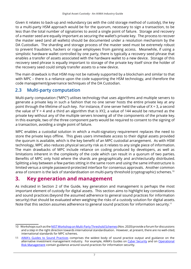Given it relates to back-up and redundancy (as with the cold storage method of custody), the key to a multi-party HSM approach would be for the quorum, necessary to sign a transaction, to be less than the total number of signatories to avoid a single point of failure. Storage and recovery of a master seed are equally important as securing the wallet's private key. The process to recover the master seed (and all wallets) should be documented under a resolution mechanism by the DA Custodian. The sharding and storage process of the master seed must be extremely robust to prevent fraudsters, hackers or rogue employees from gaining access. Meanwhile, if using a simplistic hardware wallet controlled by one party, there is typically a recovery seed phrase that enables a transfer of assets associated with the hardware wallet to a new device. Storage of this recovery seed phrase is equally important to storage of the private key itself since the holder of the recovery seed could simply transfer assets to a new device.

The main drawback is that HSM may not be natively supported by a blockchain and similar to that with MPC – there is a reliance upon the code supporting the HSM technology, and therefore the code management/governance techniques of the DA Custodian.

#### **2.3 Multi-party computation**

Multi-party computation ("MPC") utilises technology that uses algorithms and multiple servers to generate a private key in such a fashion that no one server hosts the entire private key at any point through the lifetime of such key. For instance, if one server held the value of  $X = 3$ , a second the value of  $Y = 4$  and a third an algorithm that is XY2, a value of 144 would be returned as the private key without any of the multiple servers knowing all of the components of the private key. In this example, two of the three component parts would be required to consent to the signing of a transaction, avoiding a single point of failure.

MPC enables a custodial solution in which a multi-signatory requirement replaces the need to store the private keys offline. This gives users immediate access to their digital assets provided the quorum is available, which is the key benefit of an MPC custodial arrangement. As with HSM technology, MPC also reduces physical security risk as it relates to any single piece of information. The main drawbacks of MPC include reliance on coding produced by developers, as well as limitations inherent in the complexity of the code which can result in a quorum of two parties. Benefits of MPC only hold where the shards are geographically and architecturally distributed. Splitting a key between a few parties sitting in the same room and using the same infrastructure is limited versus a simple password-protected interface for consensus approvals. Another common area of concern is the lack of standardisation on multi-party threshold (cryptographic) schemes.<sup>10</sup>

#### **3. Key generation and management**

As indicated in Section 2 of the Guide, key generation and management is perhaps the most important element of custody for digital assets. This section aims to highlight key considerations and sound practices (beyond the assumed adherence to general sound practices for information security) that should be evaluated when weighing the risks of a custody solution for digital assets. Note that this section assumes adherence to general sound practices for information security.11

<sup>10</sup> Workshops such as the [NIST Workshop on Multi-Party Threshold Schemes](https://csrc.nist.gov/events/2020/mpts2020) (Nov. 2020) provide a forum for discussions and a step in the right direction towards international standardisation. However, at present, there are no well-cited, international standards for MPC schemes.

<sup>11</sup> [AIMA's Guides to Sound Practices](https://www.aima.org/sound-practices/guides-to-sound-practices.html) comprises the widest body of sound practice output and guidance on the alternative investment management industry. For example, AIMA's Guides on [Cyber Security](https://www.aima.org/resource/guide-to-sound-practices-for-cyber-security.html) and on Operational [Risk Management](https://www.aima.org/resource/guide-to-sound-practices-for-operational-risk-management.html) contain guidance around sound practices for information security.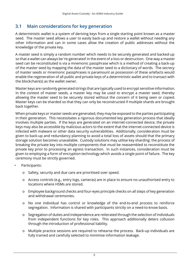#### **3.1 Main considerations for key generation**

A deterministic wallet is a system of deriving keys from a single starting point known as a master seed. The master seed allows a user to easily back-up and restore a wallet without needing any other information and can in some cases allow the creation of public addresses without the knowledge of the private key.

A master seed is simply a random number which needs to be securely generated and backed-up so that a wallet can always be 're-generated' in the event of a loss or destruction. One way a master seed can be reconstituted is via a mnemonic passphrase which is a method of creating a back-up of the master seed by mapping the data of the master seed to a dictionary of words. The secrecy of master seeds or mnemonic passphrases is paramount as possession of these artefacts would enable the regeneration of all public and private keys of a deterministic wallet and to transact with the blockchain(s) as the wallet owner.

Master keys are randomly generated strings that are typically used to encrypt sensitive information. In the context of master seeds, a master key may be used to encrypt a master seed, thereby allowing the master seed to be securely stored without the concern of it being seen or copied. Master keys can be sharded so that they can only be reconstructed if multiple shards are brought back together.

When private keys or master seeds are generated, they may be exposed to the parties participating in their generation. This necessitates a rigorous documented key generation process that ideally involves multiple parties. If the keys are generated on an internet-connected device, the private keys may also be accessible by malicious actors to the extent that the internet-connected device is infected with malware or other data security vulnerabilities. Additionally, consideration must be given to back-up and redundancy planning to avoid a total loss of assets should that the primary storage solution becomes unavailable. Custody solutions may utilise key sharding: the process of breaking the private key into multiple components that must be reassembled to reconstitute the private key prior to processing an egress transaction. In such instances, consideration must be given to employing a form of encryption technology which avoids a single point of failure. The key ceremony must be strictly governed.

- Participants:
	- o Safety, security and due care are prioritised over speed.
	- o Access controls (e.g., entry logs, cameras) are in place to ensure no unauthorised entry to locations where HSMs are stored.
	- o Employee background checks and four-eyes principle checks on all steps of key generation and withdrawal ceremonies.
	- o No one individual has control or knowledge of the end-to-end process to reinforce segregation. Information is shared with participants strictly on a need-to-know basis.
	- o Segregation of duties and independence are reiterated through the selection of individuals from independent functions for key roles. This approach additionally deters collusion through the introduction of professional liability.
	- o Multiple practice sessions are required to rehearse the process. Back-up individuals are fully trained and carefully selected to minimise information leakage.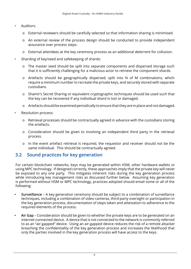- Auditors:
	- o External reviewers should be carefully selected so that information sharing is minimised.
	- o An external review of the process design should be conducted to provide independent assurance over process steps.
	- o External attendees at the key ceremony process as an additional deterrent for collusion.
- Sharding of key/seed and safekeeping of shards:
	- o The master seed should be split into separate components and dispersed storage such that it is sufficiently challenging for a malicious actor to retrieve the component shards.
	- o Artefacts should be geographically dispersed, split into N of M combinations, which require a minimum number to recreate the private keys, and securely stored with separate custodians.
	- o Shamir's Secret Sharing or equivalent cryptographic techniques should be used such that the key can be recovered if any individual shard is lost or damaged.
	- o Artefacts should be examined periodically to ensure that they are in place and not damaged.
- Resolution process:
	- o Retrieval processes should be contractually agreed in advance with the custodians storing the artefacts.
	- o Consideration should be given to involving an independent third party in the retrieval process.
	- o In the event artefact retrieval is required, the requestor and receiver should not be the same individual. This should be contractually agreed.

#### **3.2 Sound practices for key generation**

For certain blockchain networks, keys may be generated within HSM, other hardware wallets or using MPC technology. If designed correctly, these approaches imply that the private key will never be exposed to any one party. This mitigates inherent risks during the key generation process while introducing key management risks as discussed further below. Assuming key generation is performed without HSM or MPC technology, practices adopted should entail some or all of the following:

- **• Surveillance**  A key generation ceremony should be subject to a combination of surveillance techniques, including a combination of video cameras, third-party oversight or participation in the key generation process, documentation of steps taken and attestation to adherence to the required elements of the process.
- **• Air Gap** Consideration should be given to whether the private keys are to be generated on an internet-connected device. A device that is not connected to the network is commonly referred to as an "air-gapped" device. Using an air-gapped device reduces the risk of a remote attacker breaching the confidentiality of the key generation process and increases the likelihood that only the parties involved in the key generation process will have access to the keys.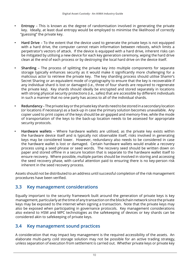- **• Entropy** This is known as the degree of randomisation involved in generating the private key. Ideally, at least dual entropy would be employed to minimise the likelihood of correctly "guessing" the private key.
- **• Hard Drive** To the extent that the device used to generate the private keys is not equipped with a hard drive, the computer cannot retain information between reboots, which limits a perpetrator's vectors of attack. If the device is equipped with a hard drive, inherent risks can be mitigated by utilising a new device for each key generation ceremony, wiping the hard drive clean at the end of each process or by destroying the local hard drive on the device itself.
- **• Sharding** The process of splitting the private key into multiple components for separate storage typically enhances security as it would make it significantly more challenging for a malicious actor to retrieve the private key. The key sharding process should utilise Shamir's Secret Sharing or an equivalent mode of cryptography to ensure that the key is recoverable if any individual shard is lost or damaged (i.e., three of four shards are required to regenerate the private key). Key shards should ideally be encrypted and stored separately in locations with strong physical security protections (i.e., safes) that are accessible by different individuals in such a manner that no one party has access to all of the individual shards.
- **• Redundancy** The private key or the private key shards need to be stored in a secondary location (or locations if necessary) as a back-up in case the primary solution becomes unavailable. Any copier used to print copies of the keys should be air-gapped and memory-free, while the mode of transportation of the keys to the back-up location needs to be assessed for appropriate security protocols.
- **• Hardware wallets**  Where hardware wallets are utilised, as the private key exists within the hardware device itself and is typically not observable itself, risks involved in generating keys may be considered lower. However, redundancy also needs to be considered in case the hardware wallet is lost or damaged. Certain hardware wallets would enable a recovery process using a seed phrase or seed words. The recovery seed should be written down on paper and stored offline in a secure location that is separate to the hardware wallet itself to ensure recovery. Where possible, multiple parties should be involved in storing and accessing the seed recovery phase, with careful attention paid to ensuring there is no key-person risk inherent in the seed recovery process.

Assets should not be distributed to an address until successful completion of the risk management procedures have been verified.

#### **3.3 Key management considerations**

Equally important to the security framework built around the generation of private keys is key management, particularly at the time of any transaction on the blockchain network since the private keys may be exposed to the internet when signing a transaction. Note that the private keys may also be exposed when participating in governance protocols. Key management considerations also extend to HSM and MPC technologies as the safekeeping of devices or key shards can be considered akin to safekeeping of private keys.

#### **3.4 Key management sound practices**

A consideration that may impact key management is the required accessibility of the assets. An elaborate multi-party cold storage solution may not be possible for an active trading strategy, unless separation of execution from settlement is carried out. Whether private keys or private key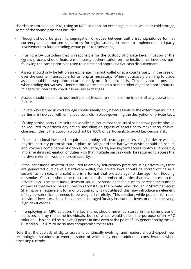shards are stored in an HSM, using an MPC solution, on exchange, in a hot wallet or cold storage, some of the sound practices include:

- Thought should be given to segregation of duties between authorised signatories for fiat currency and authorised signatories for digital assets, in order to implement multi-party involvement to fund a trading venue prior to transacting.
- If using a DA Custodian that is responsible for the custody of private keys, initiation of the egress process should feature multi-party authentication on the institutional investors' part following the same principles used to initiate and approve a fiat cash disbursement.
- Assets should only be left on an exchange, in a hot wallet or at a counterparty, in the case of over-the-counter transaction, for as long as necessary. When not actively planning to trade, assets should be swept into secure custody on a frequent basis. This may not be possible when trading derivatives. Hence a third party such as a prime broker might be appropriate to mitigate counterparty credit risk versus exchanges.
- Assets should be split across multiple addresses to minimise the impact of any operational failure.
- Private keys stored in cold storage should ideally only be accessible to the extent that multiple parties are involved, with enhanced controls in place governing the decryption of private keys.
- If using a third-party HSM solution, ideally a quorum that consists of at least two parties should be required to perform any action, including an egress of assets or to make account-level changes. Ideally the quorum would not be 100% of participants to avoid key-person risk.
- If the institutional investor is required to employ self-custody practices using hardware wallets, physical security protocols put in place to safeguard the hardware device should be robust and involve a combination of video surveillance, safes, and keycard access controls. If possible, implementing segregation of duties – so that multiple parties would be required to access the hardware wallet – would improve security.
- If the institutional investor is required to employ self-custody practices using private keys that are generated outside of a hardware wallet, the private keys should be stored offline in a secure fashion (i.e., in a safe) and in a format that protects against damage from flooding or smoke. Controls should be robust to limit the number of parties that have access to the private keys. The institutional investor could use sharding techniques to increase the number of parties that would be required to reconstitute the private keys, though if Shamir's Secret Sharing or an equivalent form of cryptography is not utilised, this may introduce an element of key-person risk that needs to be weighed carefully. This solution, while popular for retail individual investors, should never be encouraged for any institutional investor due to the (very) high risk it carries.
- If employing an MPC solution, the key shards should never be stored in the same place or be accessible by the same individuals, both of which would defeat the purpose of an MPC solution. This should be true at all points in time even at the point of key generation by the DA Custodian. Failure to do so may compromise the assets.

Note that the custody of digital assets is continually evolving, and readers should expect new technological solutions to emerge, some of which may entail additional consideration when assessing custody.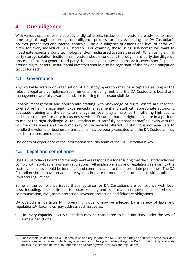#### **4. Due diligence**

With various options for the custody of digital assets, institutional investors are advised to invest time to go through a thorough due diligence process carefully evaluating the DA Custodian's policies, procedures and internal controls. The due diligence questions and level of detail will differ for every individual DA Custodian. For example, those using self-storage will want to investigate aspects around technology and/or media used to store the asset. When using a thirdparty storage solution, institutional investors should conduct a thorough third-party due diligence process. If this is a generic third-party diligence plan, it is wise to ensure it covers specific points around digital assets. Institutional investors should also be cognisant of the risk and mitigation tactics for each.

#### **4.1 Governance**

Any workable system or organisation of a custody operation may be acceptable as long as the relevant legal and compliance requirements are being met, and the DA Custodian's board and management, are fully aware of and, are fulfilling their responsibilities.

Capable management and appropriate staffing with knowledge of digital assets are essential to effective risk management. Experienced management and staff with appropriate autonomy, adequate training and the ability to manage turnover play a major part in offering high quality and consistent performance in custody services. Ensuring that the right people are in a position to mount the right challenge. A DA Custodian must carefully compare its staffing levels with the volume of business and the complexity of the services offered. If staffing is not adequate to handle the volume of business, transactions may be poorly executed and the DA Custodian may lose both assets and clients.

The depth of experience of the information security team at the DA Custodian is key.

#### **4.2 Legal and compliance**

The DA Custodian's board and management are responsible for ensuring that the custody activities comply with applicable laws and regulations. All applicable laws and regulations relevant to the custody business should be identified and communicated to the appropriate personnel. The DA Custodian should have an adequate system in place to monitor for compliance with applicable laws and regulations.

Some of the compliance issues that may arise for DA Custodians are compliance with local laws, including, but not limited to, recordkeeping and confirmation requirements, shareholder communication, AML, asset protection, investor protection and fiduciary obligations.

DA Custodians, particularly if operating globally, may be affected by a variety of laws and regulations.12 Local laws may address such issues as:

**• Fiduciary capacity** – A DA Custodian may be considered to be a fiduciary under the law of some jurisdictions.

<sup>12</sup> For example, in addition to U.S. federal laws and regulations, the DA Custodian may be subject to State laws, and laws of foreign countries in which they offer services. In foreign countries, the global DA Custodian will typically rely on its sub-custodian network to understand and comply with local laws and regulations.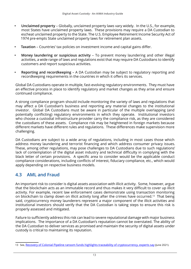- **• Unclaimed property**  Globally, unclaimed property laws vary widely. In the U.S., for example, most States have unclaimed property laws. These provisions may require a DA Custodian to escheat unclaimed property to the State. The U.S. Employee Retirement Income Security Act of 1974 pre-empts State unclaimed property laws for retirement plan assets.
- **• Taxation** Countries' tax policies on investment income and capital gains differ.
- **• Money laundering or suspicious activity** To prevent money laundering and other illegal activities, a wide range of laws and regulations exist that may require DA Custodians to identify customers and report suspicious activities.
- **• Reporting and recordkeeping**  A DA Custodian may be subject to regulatory reporting and recordkeeping requirements in the countries in which it offers its services.

Global DA Custodians operate in multiple, fast-evolving regulatory environments. They must have an effective process in place to identify regulatory and market changes as they arise and ensure continued compliance.

A strong compliance program should include monitoring the variety of laws and regulations that may affect a DA Custodian's business and reporting any material changes to the institutional investor. Global DA Custodians must be aware in particular of the multiple overlapping (and potentially conflicting) regulatory environments in which they operate. Institutional investors who choose a custodial infrastructure provider carry the compliance risk, as they are considered the custodians of these assets. Compliance risk may be heightened in foreign markets because different markets have different rules and regulations. These differences make supervision more challenging.

DA Custodians are subject to a wide array of regulations, including in most cases those which address money laundering and terrorist financing and which address consumer privacy issues. These, among other regulations, may pose challenges to DA Custodians due to such regulations' lack of contemplation of the digital asset industry and technical difficulty in complying with the black letter of certain provisions. A specific area to consider would be the applicable conduct compliance considerations, including conflicts of interest, fiduciary compliance, etc., which would apply depending on respective business models.

#### **4.3 AML and Fraud**

An important risk to consider is digital assets association with illicit activity. Some, however, argue that the blockchain acts as an immutable record and thus makes it very difficult to cover up illicit activity. For example, recent law enforcement cases demonstrate using transaction monitoring on blockchain to clamp down on illicit activity long after the crimes have occurred.<sup>13</sup> That being said, cryptocurrency money launderers represent a major component of the illicit activities and institutional investors should verify that the DA Custodian is taking steps to ensure this risk is properly assessed and mitigated.

Failure to sufficiently address this risk can lead to severe reputational damage with major business implications. The importance of a DA Custodian's reputation cannot be overstated. The ability of the DA Custodian to deliver services as promised and maintain the security of digital assets under custody is critical to maintaining its reputation.

<sup>13</sup> See, [Recovery of Colonial Pipeline ransom funds highlights traceability of cryptocurrency, experts say](https://www.thomsonreuters.com/en-us/posts/investigation-fraud-and-risk/colonial-pipeline-ransom-funds/) (June 2021).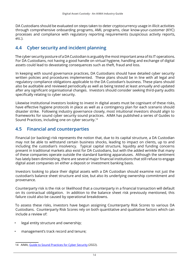DA Custodians should be evaluated on steps taken to deter cryptocurrency usage in illicit activities through comprehensive onboarding programs, AML programs, clear know-your-customer (KYC) processes and compliance with regulatory reporting requirements (suspicious activity reports, etc.).

#### **4.4 Cyber security and incident planning**

The cyber security posture of a DA Custodian is arguably the most important area of its IT operations. For DA Custodians, not having a good handle on virtual hygiene, handling and exchange of digital assets could lead to devastating consequences such as theft, fraud and loss.

In keeping with sound governance practices, DA Custodians should have detailed cyber security written policies and procedures implemented. These plans should be in line with all legal and regulatory compliance obligations applicable to the DA Custodian's business. These plans should also be auditable and reviewed periodically as well as being tested at least annually and updated after any significant organisational changes. Investors should consider seeking third-party audits specifically relating to cyber security.

Likewise institutional investors looking to invest in digital assets must be cognisant of these risks, have effective hygiene protocols in place as well as a contingency plan for each scenario should disaster strike. Following industry governance closely, most intuitional investors should align to frameworks for sound cyber security sound practices. AIMA has published a series of Guides to Sound Practices, including one on cyber security.14

#### **4.5 Financial and counterparties**

Financial (or backing) risk represents the notion that, due to its capital structure, a DA Custodian may not be able to withstand certain business shocks, leading to impact on clients, up to and including the custodian's insolvency. Typical capital structure, liquidity and funding concerns present in traditional markets also exist for DA Custodians, but with the added wrinkle that many of these companies operate outside the standard banking apparatuses. Although the sentiment has lately been diminishing, there are several major financial institutions that still refuse to engage digital asset companies on either a deposit or investment banking basis.

Investors looking to place their digital assets with a DA Custodian should examine not just the custodian's balance sheet structure and size, but also its underlying ownership commitment and provenance.

Counterparty risk is the risk or likelihood that a counterparty in a financial transaction will default on its contractual obligation. In addition to the balance sheet risk previously mentioned, this failure could also be caused by operational breakdowns.

To assess these risks, investors have begun assigning Counterparty Risk Scores to various DA Custodians. Counterparty Risk Scores rely on both quantitative and qualitative factors which can include a review of:

- legal entity structure and ownership;
- management's track record and tenure;

<sup>14</sup> AIMA, [Guide to Sound Practices for Cyber Security](http://AIMA, Guide to Sound Practices for Cyber Security (2022).) (2022).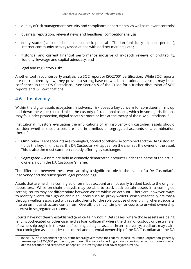- quality of risk management, security and compliance departments, as well as relevant controls;
- business reputation, relevant news and headlines, competitor analysis;
- entity status (sanctioned or unsanctioned), political affiliation (politically exposed persons), internet community activity (associations with darknet markets), etc.;
- historical and current financial performance inclusive of in-depth reviews of profitability, liquidity, leverage and capital adequacy; and
- legal and regulatory risks.

Another tool in counterparty analysis is a SOC report or ISO27001 certification. While SOC reports are not required by law, they provide a strong base on which institutional investors may build confidence in their DA Custodians. See **Section 5** of the Guide for a further discussion of SOC reports and ISO certifications.

#### **4.6 Insolvency**

Within the digital assets ecosystem, insolvency risk poses a key concern for constituent firms up and down the value chain. Unlike the custody of traditional assets, which in some jurisdictions may fall under protection, digital assets sit more or less at the mercy of their DA Custodians.15

Institutional investors evaluating the implications of an insolvency on custodied assets should consider whether those assets are held in omnibus or segregated accounts or a combination thereof.

- **• Omnibus**  Client accounts are comingled, pooled or otherwise combined and the DA Custodian holds the key. In this case, the DA Custodian will appear on the chain as the owner of the asset. This is also the most common custody offering by exchanges.
- **• Segregated** Assets are held in distinctly demarcated accounts under the name of the actual owners, not in the DA Custodian's name.

The difference between these two can play a significant role in the event of a DA Custodian's insolvency and the subsequent legal proceedings.

Assets that are held in a comingled or omnibus account are not easily tracked back to the original depositors. While on-chain analysis may be able to track back certain assets in a comingled setting, courts may not differentiate between assets within an account. There are, however, ways to identify clients through on-chain solutions such as proxy wallets, which essentially are 'passthrough' wallets associated with specific clients for the sole purpose of identifying where deposits into an omnibus structure come from. Overall, it is much simpler for courts to unwind ownership interest in segregated accounts.

Courts have not clearly established (and certainly not in DeFi cases, where those assets are being lent, hypothecated or otherwise held as loan collateral) where the chain of custody or the transfer of ownership begins in the world of comingled digital assets. In an insolvency, creditors may claim that comingled assets under the control and potential ownership of the DA Custodian are the DA

<sup>15</sup> In the U.S., an independent agency of the federal government, the Federal Deposit Insurance Corporation, generally insures up to \$250,000 per person, per bank. It covers all checking accounts, savings accounts, money market deposit accounts and certificates of deposit. It currently does not cover cryptocurrency.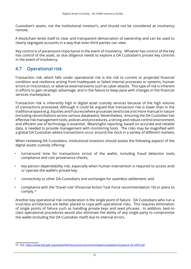Custodian's assets, not the institutional investor's, and should not be considered as insolvency remote.

A blockchain lends itself to clear and transparent demarcation of ownership and can be used to clearly segregate accounts in a way that even third parties can view.

Key control is of paramount importance in the event of insolvency. Whoever has control of the key has control of the asset, so due diligence needs to explore a DA Custodian's private key controls in the event of insolvency.

#### **4.7 Operational risk**

Transaction risk, which falls under operational risk is the risk to current or projected financial condition and resilience arising from inadequate or failed internal processes or systems, human errors or misconduct, or adverse external events such as cyber attacks. This type of risk is inherent in efforts to gain strategic advantage, and in the failure to keep pace with changes in the financial services marketplace.

Transaction risk is inherently high in digital asset custody services because of the high volume of transactions processed. Although it could be argued that transaction risk is lower than in the traditional space (e.g. Equities and Futures) where processes tend to be a lot more manual in nature (including reconciliations across various databases). Nevertheless, ensuring the DA Custodian has effective risk management tools, policies and procedures, a strong and robust control environment, and efficient use of technology is essential. Meaningful reporting, based on accurate and reliable data, is needed to provide management with monitoring tools. The risks may be magnified with a global DA Custodian where transactions occur around the clock in a variety of different markets.

When reviewing DA Custodians, institutional investors should assess the following aspects of the digital assets custody offering:

- turnaround time for transactions in/out of the wallet, including fraud detection tools, compliance and coin provenance checks;
- key-person dependability risk, especially when human intervention is required to access and/ or operate the wallet's private key;
- connectivity to other DA Custodians and exchanges for seamless settlement; and
- compliance with the "travel rule" (Financial Action Task Force recommendation 16) or plans to comply.16

Another key operational risk consideration is the single point of failure. DA Custodians who run a trust-less architecture are better placed to cope with operational risks. This requires elimination of single points of failure such as handling private keys and seed phrases. In addition, best-inclass operational procedures would also eliminate the ability of any single party to compromise the wallet (including the DA Custodian itself) due to internal errors.

<sup>16</sup> See, <https://www.fatf-gafi.org/media/fatf/documents/recommendations/Updated-Guidance-VA-VASP.pdf>.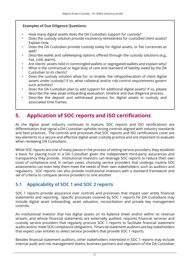#### **Examples of Due Diligence Questions:**

- How many digital assets does the DA Custodian support for custody?
- Does the custody solution provide insolvency remoteness for custodied client assets? Explain how.
- Does the DA Custodian provide custody solely for digital assets, or fiat currencies as well?
- Describe wallet and safekeeping options offered through the custody solutions (e.g., hot, cold, warm).
- Are clients' assets held in commingled wallets or segregated wallets and explain why?
- What is the contractual or legal duty of care and standard of liability owed by the DA Custodian to its clients?
- Does the custody solution allow for, or enable, the rehypothecation of client digital assets under custody? If so, what collateral and/or risk control requirements govern such activities?
- Does the DA Custodian plan to add support for additional digital assets? If so, please describe the new asset onboarding evaluation, timeline and due diligence process.
- Describe the deposit and withdrawal process for digital assets in custody and associated time frames.

#### **5. Application of SOC reports and ISO certifications**

As the digital asset industry continues to mature, SOC reports and ISO certifications are differentiators that signal a DA Custodian upholds strong controls aligned with industry standards and best practices. The controls and processes that SOC reports and ISO certifications cover are key elements to a secure and effective digital asset custody practice and are important to evaluate when reviewing DA Custodians.

While SOC reports are one of many pieces in the process of vetting service providers, they establish a basis for placing trust in a DA Custodian given the independent third-party assurances and transparency they provide. Institutional investors can leverage SOC reports to reduce their own costs of compliance and, in certain cases, choosing service providers that undergo routine SOC assessments can even help them meet the needs of their own stakeholders, such as auditors and regulators. SOC reports can also provide institutional investors with a standard framework and set of criteria to compare service providers to one another.

#### **5.1 Applicability of SOC 1 and SOC 2 reports**

SOC 1 reports provide assurance over controls and processes that impact user entity financial statements and reporting. Specific processes covered by SOC 1 reports for DA Custodians may include digital asset onboarding, asset valuation, reconciliation and private key management controls.

An institutional investor that has digital assets on its balance sheet and/or within its revenue stream, and whose financial statements are externally audited, requires financial services and custody service providers that regularly procure SOC 1 reports to facilitate financial statement audits and/or meet SOX compliance obligations. Financial statement auditors are key stakeholders that expect user entities to select service providers that provide SOC 1 reports.

Besides financial statement auditors, other stakeholders interested in SOC 1 reports may include internal audit and risk management teams, business partners and regulators of the DA Custodian.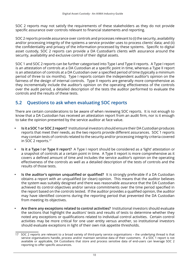SOC 2 reports may not satisfy the requirements of these stakeholders as they do not provide specific assurance over controls relevant to financial statements and reporting.

SOC 2 reports provide assurance over controls and processes relevant to (i) the security, availability and/or processing integrity of the systems a service provider uses to process clients' data; and (ii) the confidentiality and privacy of the information processed by these systems. Specific to digital asset custody, SOC 2 reports can provide a DA Custodian's clients with assurance around the security, availability and exclusive control of their digital assets.

SOC 1 and SOC 2 reports can be further categorised into Type I and Type II reports. A Type I report is an attestation of controls at a DA Custodian at a specific point in time, whereas a Type II report is an attestation of controls at a DA Custodian over a specified period of time (typically a minimum period of three to six months). Type I reports contain the independent auditor's opinion on the fairness of the design of internal controls. Type II reports are generally more comprehensive as they incrementally include the auditor's opinion on the operating effectiveness of the controls over the audit period, a detailed description of the tests the auditor performed to evaluate the controls and the results of these tests.

#### **5.2 Questions to ask when evaluating SOC reports**

There are certain considerations to be aware of when reviewing SOC reports. It is not enough to know that a DA Custodian has received an attestation report from an audit firm, nor is it enough to take the opinion presented by the service auditor at face value.

- **• Is it a SOC 1 or SOC 2 report?** Institutional investors should ensure their DA Custodian produces reports that meet their needs, as the two reports provide different assurances. SOC 1 reports may contain tests of controls related to the security and/or processing integrity criteria covered in SOC 2 reports.17
- **• Is it a Type I or Type II report?** A Type I report should be considered as a 'light' attestation or a snapshot of controls at a certain point in time. A Type II report is more comprehensive as it covers a defined amount of time and includes the service auditor's opinion on the operating effectiveness of the controls as well as a detailed description of the tests of controls and the results of those tests.
- **• Is the auditor's opinion unqualified or qualified?** It is strongly preferable if a DA Custodian obtains a report with an unqualified (or clean) opinion. This means that the auditor believes the system was suitably designed and there was reasonable assurance that the DA Custodian achieved its control objectives and/or service commitments over the time period specified in the report based on the controls tested. If the auditor provides a qualified opinion, the auditor may have identified concerns during the reporting period that prevented the DA Custodian from meeting its objectives.
- **• Are there any exceptions related to control activities?** Institutional investors should evaluate the sections that highlight the auditors' tests and results of tests to determine whether they noted any exceptions or qualifications related to individual control activities. Certain control activities may be more critical for one user entity versus another, so institutional investors should evaluate exceptions in light of their own risk appetite thresholds.

<sup>17</sup> SOC 2 reports are relevant to a broad variety of third-party service organisations – the underlying thread is that service organisations handle, process and/or maintain sensitive data of their customers. If a SOC 1 report is not available or applicable, DA Custodians that store and process sensitive data of end-users can leverage SOC 2 reporting to offer specific assurances.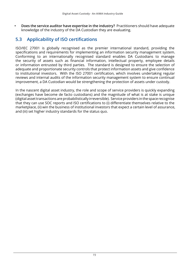**• Does the service auditor have expertise in the industry?** Practitioners should have adequate knowledge of the industry of the DA Custodian they are evaluating.

#### **5.3 Applicability of ISO certifications**

ISO/IEC 27001 is globally recognised as the premier international standard, providing the specifications and requirements for implementing an information security management system. Conforming to an internationally recognised standard enables DA Custodians to manage the security of assets such as financial information, intellectual property, employee details or information entrusted by third parties. The standard is designed to ensure the selection of adequate and proportionate security controls that protect information assets and give confidence to institutional investors. With the ISO 27001 certification, which involves undertaking regular reviews and internal audits of the information security management system to ensure continual improvement, a DA Custodian would be strengthening the protection of assets under custody.

In the nascent digital asset industry, the role and scope of service providers is quickly expanding (exchanges have become de facto custodians) and the magnitude of what is at stake is unique (digital asset transactions are probabilistically irreversible). Service providers in the space recognise that they can use SOC reports and ISO certifications to (i) differentiate themselves relative to the marketplace, (ii) win the business of institutional investors that expect a certain level of assurance, and (iii) set higher industry standards for the status quo.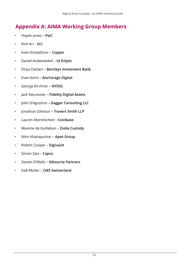#### **Appendix A: AIMA Working Group Members**

- Haydn Jones **PwC**
- Rich Itri **ECI**
- Asen Kostadinov **Copper**
- Daniel Andemeskel **UI Enlyte**
- Divya Dattani **Barclays Investment Bank**
- Evan Kohn **Anchorage Digital**
- George Kirchner **NYDIG**
- Jack Neureuter **Fidelity Digital Assets**
- John D'Agostino **Dagger Consulting LLC**
- Jonathan Gilmour **Travers Smith LLP**
- Lauren Abendschein **Coinbase**
- Maxime de Guillebon **Zodia Custody**
- Nitin Khanapurkar **Apex Group**
- Robert Cooper **Digivault**
- Simon Zais **Capco**
- Steven D'Mello **Albourne Partners**
- Vaïk Müller **CMS Switzerland**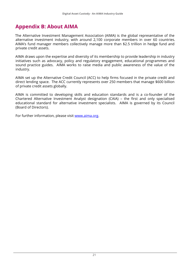#### **Appendix B: About AIMA**

The Alternative Investment Management Association (AIMA) is the global representative of the alternative investment industry, with around 2,100 corporate members in over 60 countries. AIMA's fund manager members collectively manage more than \$2.5 trillion in hedge fund and private credit assets.

AIMA draws upon the expertise and diversity of its membership to provide leadership in industry initiatives such as advocacy, policy and regulatory engagement, educational programmes and sound practice guides. AIMA works to raise media and public awareness of the value of the industry.

AIMA set up the Alternative Credit Council (ACC) to help firms focused in the private credit and direct lending space. The ACC currently represents over 250 members that manage \$600 billion of private credit assets globally.

AIMA is committed to developing skills and education standards and is a co-founder of the Chartered Alternative Investment Analyst designation (CAIA) – the first and only specialised educational standard for alternative investment specialists. AIMA is governed by its Council (Board of Directors).

For further information, please visit [www.aima.org.](http://www.aima.org)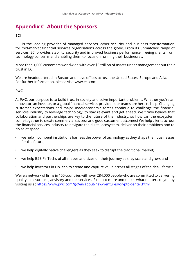#### **Appendix C: About the Sponsors**

#### **ECI**

ECI is the leading provider of managed services, cyber security and business transformation for mid-market financial services organisations across the globe. From its unmatched range of services, ECI provides stability, security and improved business performance, freeing clients from technology concerns and enabling them to focus on running their businesses.

More than 1,000 customers worldwide with over \$3 trillion of assets under management put their trust in ECI.

We are headquartered in Boston and have offices across the United States, Europe and Asia. For further information, please visit www.eci.com.

#### **PwC**

At PwC, our purpose is to build trust in society and solve important problems. Whether you're an innovator, an investor, or a global financial services provider, our teams are here to help. Changing customer expectations and major macroeconomic forces continue to challenge the financial services industry to leverage technology, to stay relevant and get ahead. We firmly believe that collaboration and partnerships are key to the future of the industry, so how can the ecosystem come together to create commercial success and good customer outcomes? We help clients across the financial services industry to navigate the digital ecosystem, deliver on their ambitions and to do so at speed:

- we help incumbent institutions harness the power of technology as they shape their businesses for the future;
- we help digitally native challengers as they seek to disrupt the traditional market;
- we help B2B FinTechs of all shapes and sizes on their journey as they scale and grow; and
- we help investors in FinTech to create and capture value across all stages of the deal lifecycle.

We're a network of firms in 155 countries with over 284,000 people who are committed to delivering quality in assurance, advisory and tax services. Find out more and tell us what matters to you by visiting us at <https://www.pwc.com/gx/en/about/new-ventures/crypto-center.html>.